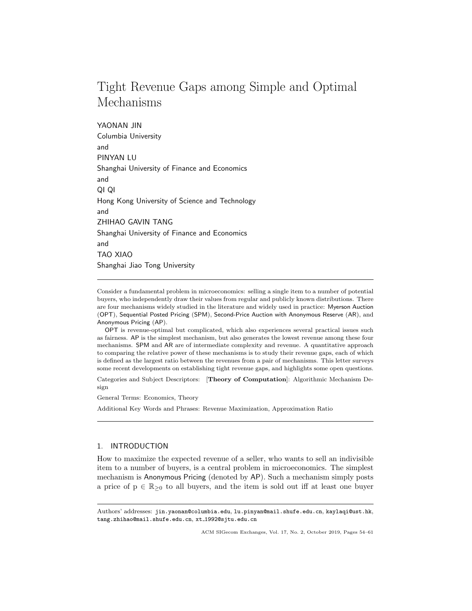# Tight Revenue Gaps among Simple and Optimal Mechanisms

YAONAN JIN Columbia University and PINYAN LU Shanghai University of Finance and Economics and QI QI Hong Kong University of Science and Technology and ZHIHAO GAVIN TANG Shanghai University of Finance and Economics and TAO XIAO Shanghai Jiao Tong University

Consider a fundamental problem in microeconomics: selling a single item to a number of potential buyers, who independently draw their values from regular and publicly known distributions. There are four mechanisms widely studied in the literature and widely used in practice: Myerson Auction (OPT), Sequential Posted Pricing (SPM), Second-Price Auction with Anonymous Reserve (AR), and Anonymous Pricing (AP).

OPT is revenue-optimal but complicated, which also experiences several practical issues such as fairness. AP is the simplest mechanism, but also generates the lowest revenue among these four mechanisms. SPM and AR are of intermediate complexity and revenue. A quantitative approach to comparing the relative power of these mechanisms is to study their revenue gaps, each of which is defined as the largest ratio between the revenues from a pair of mechanisms. This letter surveys some recent developments on establishing tight revenue gaps, and highlights some open questions.

Categories and Subject Descriptors: [Theory of Computation]: Algorithmic Mechanism Design

General Terms: Economics, Theory

Additional Key Words and Phrases: Revenue Maximization, Approximation Ratio

## 1. INTRODUCTION

How to maximize the expected revenue of a seller, who wants to sell an indivisible item to a number of buyers, is a central problem in microeconomics. The simplest mechanism is Anonymous Pricing (denoted by AP). Such a mechanism simply posts a price of  $p \in \mathbb{R}_{\geq 0}$  to all buyers, and the item is sold out iff at least one buyer

Authors' addresses: jin.yaonan@columbia.edu, lu.pinyan@mail.shufe.edu.cn, kaylaqi@ust.hk, tang.zhihao@mail.shufe.edu.cn, xt 1992@sjtu.edu.cn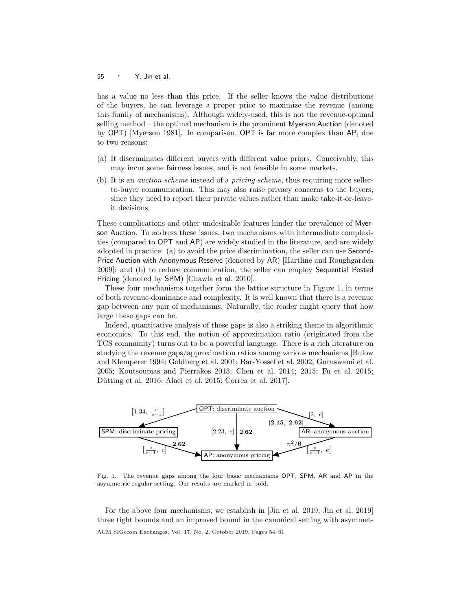#### 55  $\cdot$  Y. Jin et al.

has a value no less than this price. If the seller knows the value distributions of the buyers, he can leverage a proper price to maximize the revenue (among this family of mechanisms). Although widely-used, this is not the revenue-optimal selling method – the optimal mechanism is the prominent Myerson Auction (denoted by OPT) [Myerson 1981]. In comparison, OPT is far more complex than AP, due to two reasons:

- (a) It discriminates different buyers with different value priors. Conceivably, this may incur some fairness issues, and is not feasible in some markets.
- (b) It is an auction scheme instead of a pricing scheme, thus requiring more sellerto-buyer communication. This may also raise privacy concerns to the buyers, since they need to report their private values rather than make take-it-or-leaveit decisions.

These complications and other undesirable features hinder the prevalence of Myerson Auction. To address these issues, two mechanisms with intermediate complexities (compared to OPT and AP) are widely studied in the literature, and are widely adopted in practice: (a) to avoid the price discrimination, the seller can use Second-Price Auction with Anonymous Reserve (denoted by AR) [Hartline and Roughgarden 2009]; and (b) to reduce communication, the seller can employ Sequential Posted Pricing (denoted by SPM) [Chawla et al. 2010].

These four mechanisms together form the lattice structure in Figure 1, in terms of both revenue-dominance and complexity. It is well known that there is a revenue gap between any pair of mechanisms. Naturally, the reader might query that how large these gaps can be.

Indeed, quantitative analysis of these gaps is also a striking theme in algorithmic economics. To this end, the notion of approximation ratio (originated from the TCS community) turns out to be a powerful language. There is a rich literature on studying the revenue gaps/approximation ratios among various mechanisms [Bulow and Klemperer 1994; Goldberg et al. 2001; Bar-Yossef et al. 2002; Guruswami et al. 2005; Koutsoupias and Pierrakos 2013; Chen et al. 2014; 2015; Fu et al. 2015; Dütting et al. 2016; Alaei et al. 2015; Correa et al. 2017].



Fig. 1. The revenue gaps among the four basic mechanisms OPT, SPM, AR and AP in the asymmetric regular setting. Our results are marked in bold.

For the above four mechanisms, we establish in [Jin et al. 2019; Jin et al. 2019] three tight bounds and an improved bound in the canonical setting with asymmet-ACM SIGecom Exchanges, Vol. 17, No. 2, October 2019, Pages 54–61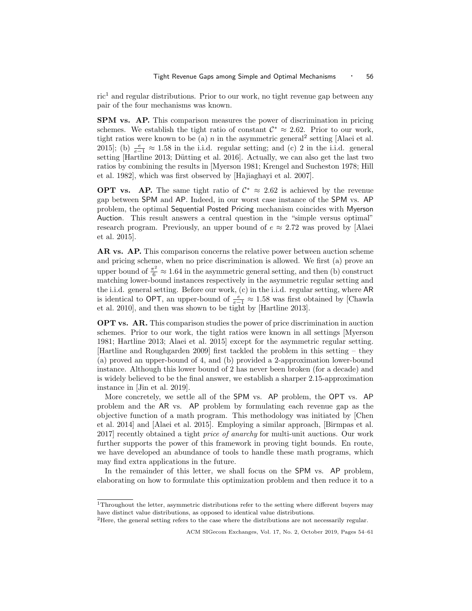$ric<sup>1</sup>$  and regular distributions. Prior to our work, no tight revenue gap between any pair of the four mechanisms was known.

SPM vs. AP. This comparison measures the power of discrimination in pricing schemes. We establish the tight ratio of constant  $\mathcal{C}^* \approx 2.62$ . Prior to our work, tight ratios were known to be (a)  $n$  in the asymmetric general<sup>2</sup> setting [Alaei et al. 2015]; (b)  $\frac{e}{e-1} \approx 1.58$  in the i.i.d. regular setting; and (c) 2 in the i.i.d. general setting [Hartline 2013; Dütting et al. 2016]. Actually, we can also get the last two ratios by combining the results in [Myerson 1981; Krengel and Sucheston 1978; Hill et al. 1982], which was first observed by [Hajiaghayi et al. 2007].

**OPT** vs. AP. The same tight ratio of  $C^* \approx 2.62$  is achieved by the revenue gap between SPM and AP. Indeed, in our worst case instance of the SPM vs. AP problem, the optimal Sequential Posted Pricing mechanism coincides with Myerson Auction. This result answers a central question in the "simple versus optimal" research program. Previously, an upper bound of  $e \approx 2.72$  was proved by [Alaei et al. 2015].

AR vs. AP. This comparison concerns the relative power between auction scheme and pricing scheme, when no price discrimination is allowed. We first (a) prove an upper bound of  $\frac{\pi^2}{6} \approx 1.64$  in the asymmetric general setting, and then (b) construct matching lower-bound instances respectively in the asymmetric regular setting and the i.i.d. general setting. Before our work, (c) in the i.i.d. regular setting, where AR is identical to OPT, an upper-bound of  $\frac{e}{e-1} \approx 1.58$  was first obtained by [Chawla et al. 2010], and then was shown to be tight by [Hartline 2013].

OPT vs. AR. This comparison studies the power of price discrimination in auction schemes. Prior to our work, the tight ratios were known in all settings [Myerson 1981; Hartline 2013; Alaei et al. 2015] except for the asymmetric regular setting. [Hartline and Roughgarden 2009] first tackled the problem in this setting – they (a) proved an upper-bound of 4, and (b) provided a 2-approximation lower-bound instance. Although this lower bound of 2 has never been broken (for a decade) and is widely believed to be the final answer, we establish a sharper 2.15-approximation instance in [Jin et al. 2019].

More concretely, we settle all of the SPM vs. AP problem, the OPT vs. AP problem and the AR vs. AP problem by formulating each revenue gap as the objective function of a math program. This methodology was initiated by [Chen et al. 2014] and [Alaei et al. 2015]. Employing a similar approach, [Birmpas et al. 2017] recently obtained a tight price of anarchy for multi-unit auctions. Our work further supports the power of this framework in proving tight bounds. En route, we have developed an abundance of tools to handle these math programs, which may find extra applications in the future.

In the remainder of this letter, we shall focus on the SPM vs. AP problem, elaborating on how to formulate this optimization problem and then reduce it to a

<sup>&</sup>lt;sup>1</sup>Throughout the letter, asymmetric distributions refer to the setting where different buyers may have distinct value distributions, as opposed to identical value distributions.

<sup>&</sup>lt;sup>2</sup>Here, the general setting refers to the case where the distributions are not necessarily regular.

ACM SIGecom Exchanges, Vol. 17, No. 2, October 2019, Pages 54–61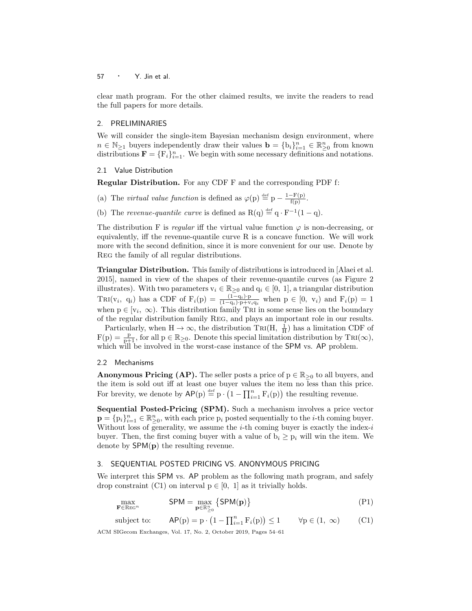clear math program. For the other claimed results, we invite the readers to read the full papers for more details.

## 2. PRELIMINARIES

We will consider the single-item Bayesian mechanism design environment, where  $n \in \mathbb{N}_{\geq 1}$  buyers independently draw their values  $\mathbf{b} = \{b_i\}_{i=1}^n \in \mathbb{R}_{\geq 0}^n$  from known distributions  $\mathbf{F} = \{F_i\}_{i=1}^n$ . We begin with some necessary definitions and notations.

#### 2.1 Value Distribution

Regular Distribution. For any CDF F and the corresponding PDF f:

- (a) The *virtual value function* is defined as  $\varphi(p) \stackrel{\text{def}}{=} p \frac{1-F(p)}{f(p)}$ .
- (b) The revenue-quantile curve is defined as  $R(q) \stackrel{\text{def}}{=} q \cdot F^{-1}(1-q)$ .

The distribution F is regular iff the virtual value function  $\varphi$  is non-decreasing, or equivalently, iff the revenue-quantile curve  $R$  is a concave function. We will work more with the second definition, since it is more convenient for our use. Denote by Reg the family of all regular distributions.

Triangular Distribution. This family of distributions is introduced in [Alaei et al. 2015], named in view of the shapes of their revenue-quantile curves (as Figure 2 illustrates). With two parameters  $v_i \in \mathbb{R}_{\geq 0}$  and  $q_i \in [0, 1]$ , a triangular distribution TRI( $v_i$ ,  $q_i$ ) has a CDF of  $F_i(p) = \frac{(1-q_i)\cdot p}{(1-q_i)\cdot p + v_i q_i}$  when  $p \in [0, v_i)$  and  $F_i(p) = 1$ when  $p \in [v_i, \infty)$ . This distribution family TRI in some sense lies on the boundary of the regular distribution family Reg, and plays an important role in our results.

Particularly, when  $H \to \infty$ , the distribution TRI(H,  $\frac{1}{H}$ ) has a limitation CDF of  $F(p) = \frac{p}{p+1}$ , for all  $p \in \mathbb{R}_{\geq 0}$ . Denote this special limitation distribution by TRI( $\infty$ ), which will be involved in the worst-case instance of the SPM vs. AP problem.

## 2.2 Mechanisms

**Anonymous Pricing (AP).** The seller posts a price of  $p \in \mathbb{R}_{\geq 0}$  to all buyers, and the item is sold out iff at least one buyer values the item no less than this price. For brevity, we denote by  $\mathsf{AP}(p) \stackrel{\text{def}}{=} p \cdot (1 - \prod_{i=1}^{n} F_i(p))$  the resulting revenue.

Sequential Posted-Pricing (SPM). Such a mechanism involves a price vector  $\mathbf{p} = \{p_i\}_{i=1}^n \in \mathbb{R}_{\geq 0}^n$ , with each price  $p_i$  posted sequentially to the *i*-th coming buyer. Without loss of generality, we assume the *i*-th coming buyer is exactly the index-*i* buyer. Then, the first coming buyer with a value of  $b_i \geq p_i$  will win the item. We denote by SPM(p) the resulting revenue.

## 3. SEQUENTIAL POSTED PRICING VS. ANONYMOUS PRICING

We interpret this SPM vs. AP problem as the following math program, and safely drop constraint (C1) on interval  $p \in [0, 1]$  as it trivially holds.

$$
\max_{\mathbf{F} \in \text{Res}^n} \qquad \text{SPM} = \max_{\mathbf{p} \in \mathbb{R}^n_{\geq 0}} \left\{ \text{SPM}(\mathbf{p}) \right\} \tag{P1}
$$

subject to: 
$$
AP(p) = p \cdot (1 - \prod_{i=1}^{n} F_i(p)) \le 1 \qquad \forall p \in (1, \infty)
$$
 (C1)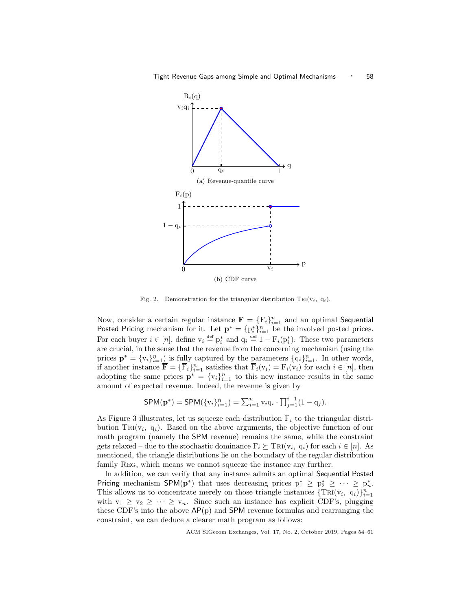

Fig. 2. Demonstration for the triangular distribution TRI $(v_i, q_i)$ .

Now, consider a certain regular instance  $\mathbf{F} = \{F_i\}_{i=1}^n$  and an optimal Sequential Posted Pricing mechanism for it. Let  $\mathbf{p}^* = \{p_i^*\}_{i=1}^n$  be the involved posted prices. For each buyer  $i \in [n]$ , define  $v_i \stackrel{\text{def}}{=} p_i^*$  and  $q_i \stackrel{\text{def}}{=} 1 - F_i(p_i^*)$ . These two parameters are crucial, in the sense that the revenue from the concerning mechanism (using the prices  $\mathbf{p}^* = \{v_i\}_{i=1}^n$  is fully captured by the parameters  $\{q_i\}_{i=1}^n$ . In other words, if another instance  $\overline{\mathbf{F}} = {\overline{\mathbf{F}}_i}_{i=1}^n$  satisfies that  $\overline{\mathbf{F}}_i(\mathbf{v}_i) = \mathbf{F}_i(\mathbf{v}_i)$  for each  $i \in [n]$ , then adopting the same prices  $\mathbf{p}^* = \{v_i\}_{i=1}^n$  to this new instance results in the same amount of expected revenue. Indeed, the revenue is given by

$$
\mathsf{SPM}(\mathbf{p}^*) = \mathsf{SPM}(\{v_i\}_{i=1}^n) = \sum_{i=1}^n v_i q_i \cdot \prod_{j=1}^{i-1} (1 - q_j).
$$

As Figure 3 illustrates, let us squeeze each distribution  $F_i$  to the triangular distribution  $TRI(v_i, q_i)$ . Based on the above arguments, the objective function of our math program (namely the SPM revenue) remains the same, while the constraint gets relaxed – due to the stochastic dominance  $F_i \succeq \text{Tri}(v_i, q_i)$  for each  $i \in [n]$ . As mentioned, the triangle distributions lie on the boundary of the regular distribution family Reg, which means we cannot squeeze the instance any further.

In addition, we can verify that any instance admits an optimal Sequential Posted Pricing mechanism SPM( $p^*$ ) that uses decreasing prices  $p_1^* \geq p_2^* \geq \cdots \geq p_n^*$ . This allows us to concentrate merely on those triangle instances  $\{TRI(v_i, q_i)\}_{i=1}^n$ with  $v_1 \ge v_2 \ge \cdots \ge v_n$ . Since such an instance has explicit CDF's, plugging these CDF's into the above  $AP(p)$  and SPM revenue formulas and rearranging the constraint, we can deduce a clearer math program as follows: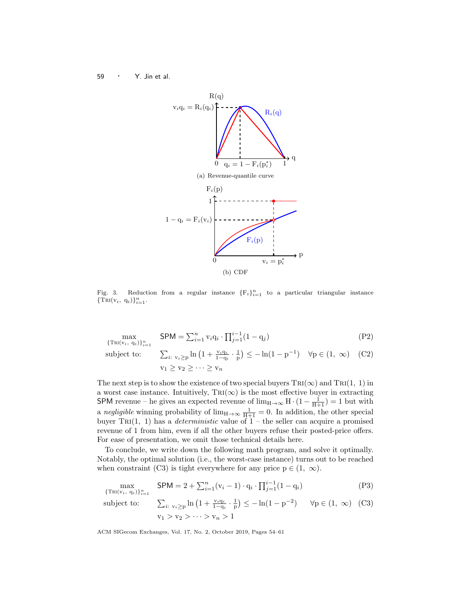<sup>59</sup> · Y. Jin et al.



Fig. 3. Reduction from a regular instance  ${F_i}_{i=1}^n$  to a particular triangular instance  ${\rm TRI}(v_i, q_i)\}_{i=1}^n$ .

$$
\max_{\{\text{TRI}(v_i, q_i)\}_{i=1}^n} \quad \text{SPM} = \sum_{i=1}^n v_i q_i \cdot \prod_{j=1}^{i-1} (1 - q_j) \tag{P2}
$$
\n
$$
\text{subject to:} \quad \sum_{i: \ v_i \ge p} \ln \left( 1 + \frac{v_i q_i}{1 - q_i} \cdot \frac{1}{p} \right) \le -\ln(1 - p^{-1}) \quad \forall p \in (1, \infty) \quad (\text{C2})
$$
\n
$$
v_1 \ge v_2 \ge \dots \ge v_n
$$

The next step is to show the existence of two special buyers  $\text{TRI}(\infty)$  and  $\text{TRI}(1, 1)$  in a worst case instance. Intuitively,  $\text{TRI}(\infty)$  is the most effective buyer in extracting SPM revenue – he gives an expected revenue of  $\lim_{H\to\infty} H \cdot (1 - \frac{1}{H+1}) = 1$  but with a negligible winning probability of  $\lim_{H\to\infty} \frac{1}{H+1} = 0$ . In addition, the other special buyer TRI(1, 1) has a *deterministic* value of  $1$  – the seller can acquire a promised revenue of 1 from him, even if all the other buyers refuse their posted-price offers. For ease of presentation, we omit those technical details here.

To conclude, we write down the following math program, and solve it optimally. Notably, the optimal solution (i.e., the worst-case instance) turns out to be reached when constraint (C3) is tight everywhere for any price  $p \in (1, \infty)$ .

$$
\max_{\{\text{TRI}(v_i, q_i)\}_{i=1}^n} \text{SPM} = 2 + \sum_{i=1}^n (v_i - 1) \cdot q_i \cdot \prod_{j=1}^{i-1} (1 - q_i) \tag{P3}
$$
\n
$$
\text{subject to:} \qquad \sum_{i: \ v_i \ge p} \ln \left( 1 + \frac{v_i q_i}{1 - q_i} \cdot \frac{1}{p} \right) \le -\ln(1 - p^{-2}) \qquad \forall p \in (1, \infty) \tag{C3}
$$
\n
$$
v_1 > v_2 > \dots > v_n > 1
$$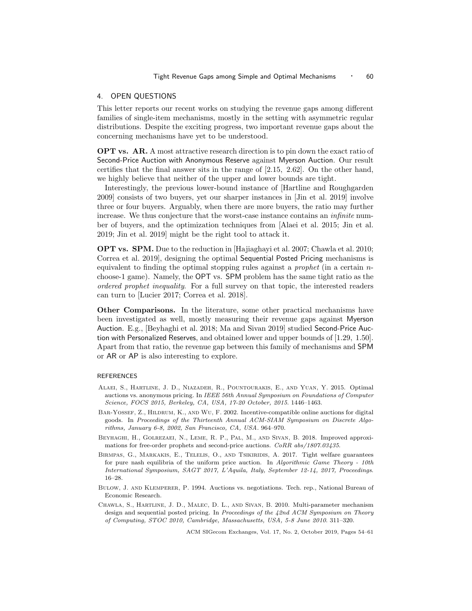#### 4. OPEN QUESTIONS

This letter reports our recent works on studying the revenue gaps among different families of single-item mechanisms, mostly in the setting with asymmetric regular distributions. Despite the exciting progress, two important revenue gaps about the concerning mechanisms have yet to be understood.

OPT vs. AR. A most attractive research direction is to pin down the exact ratio of Second-Price Auction with Anonymous Reserve against Myerson Auction. Our result certifies that the final answer sits in the range of [2.15, 2.62]. On the other hand, we highly believe that neither of the upper and lower bounds are tight.

Interestingly, the previous lower-bound instance of [Hartline and Roughgarden 2009] consists of two buyers, yet our sharper instances in [Jin et al. 2019] involve three or four buyers. Arguably, when there are more buyers, the ratio may further increase. We thus conjecture that the worst-case instance contains an infinite number of buyers, and the optimization techniques from [Alaei et al. 2015; Jin et al. 2019; Jin et al. 2019] might be the right tool to attack it.

OPT vs. SPM. Due to the reduction in [Hajiaghayi et al. 2007; Chawla et al. 2010; Correa et al. 2019], designing the optimal Sequential Posted Pricing mechanisms is equivalent to finding the optimal stopping rules against a prophet (in a certain nchoose-1 game). Namely, the OPT vs. SPM problem has the same tight ratio as the ordered prophet inequality. For a full survey on that topic, the interested readers can turn to [Lucier 2017; Correa et al. 2018].

Other Comparisons. In the literature, some other practical mechanisms have been investigated as well, mostly measuring their revenue gaps against Myerson Auction. E.g., [Beyhaghi et al. 2018; Ma and Sivan 2019] studied Second-Price Auction with Personalized Reserves, and obtained lower and upper bounds of [1.29, 1.50]. Apart from that ratio, the revenue gap between this family of mechanisms and SPM or AR or AP is also interesting to explore.

#### REFERENCES

- Alaei, S., Hartline, J. D., Niazadeh, R., Pountourakis, E., and Yuan, Y. 2015. Optimal auctions vs. anonymous pricing. In IEEE 56th Annual Symposium on Foundations of Computer Science, FOCS 2015, Berkeley, CA, USA, 17-20 October, 2015. 1446–1463.
- BAR-YOSSEF, Z., HILDRUM, K., AND WU, F. 2002. Incentive-compatible online auctions for digital goods. In Proceedings of the Thirteenth Annual ACM-SIAM Symposium on Discrete Algorithms, January 6-8, 2002, San Francisco, CA, USA. 964–970.
- Beyhaghi, H., Golrezaei, N., Leme, R. P., Pal, M., and Sivan, B. 2018. Improved approximations for free-order prophets and second-price auctions. CoRR abs/1807.03435.
- Birmpas, G., Markakis, E., Telelis, O., and Tsikiridis, A. 2017. Tight welfare guarantees for pure nash equilibria of the uniform price auction. In Algorithmic Game Theory - 10th International Symposium, SAGT 2017, L'Aquila, Italy, September 12-14, 2017, Proceedings. 16–28.
- Bulow, J. and Klemperer, P. 1994. Auctions vs. negotiations. Tech. rep., National Bureau of Economic Research.
- Chawla, S., Hartline, J. D., Malec, D. L., and Sivan, B. 2010. Multi-parameter mechanism design and sequential posted pricing. In Proceedings of the 42nd ACM Symposium on Theory of Computing, STOC 2010, Cambridge, Massachusetts, USA, 5-8 June 2010. 311–320.